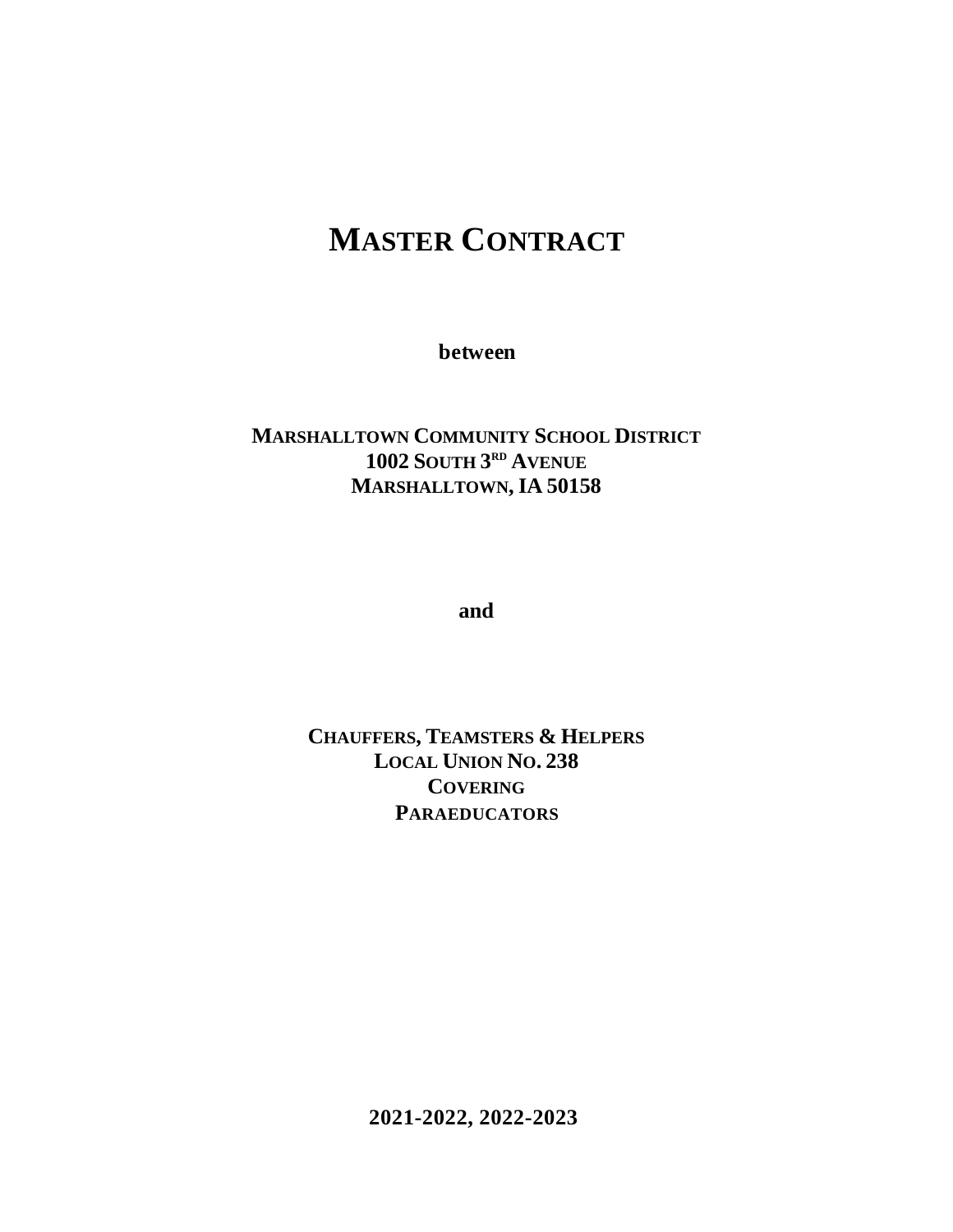# **MASTER CONTRACT**

**between**

## **MARSHALLTOWN COMMUNITY SCHOOL DISTRICT 1002 SOUTH 3 RD AVENUE MARSHALLTOWN, IA 50158**

**and**

**CHAUFFERS, TEAMSTERS & HELPERS LOCAL UNION NO. 238 COVERING PARAEDUCATORS**

**2021-2022, 2022-2023**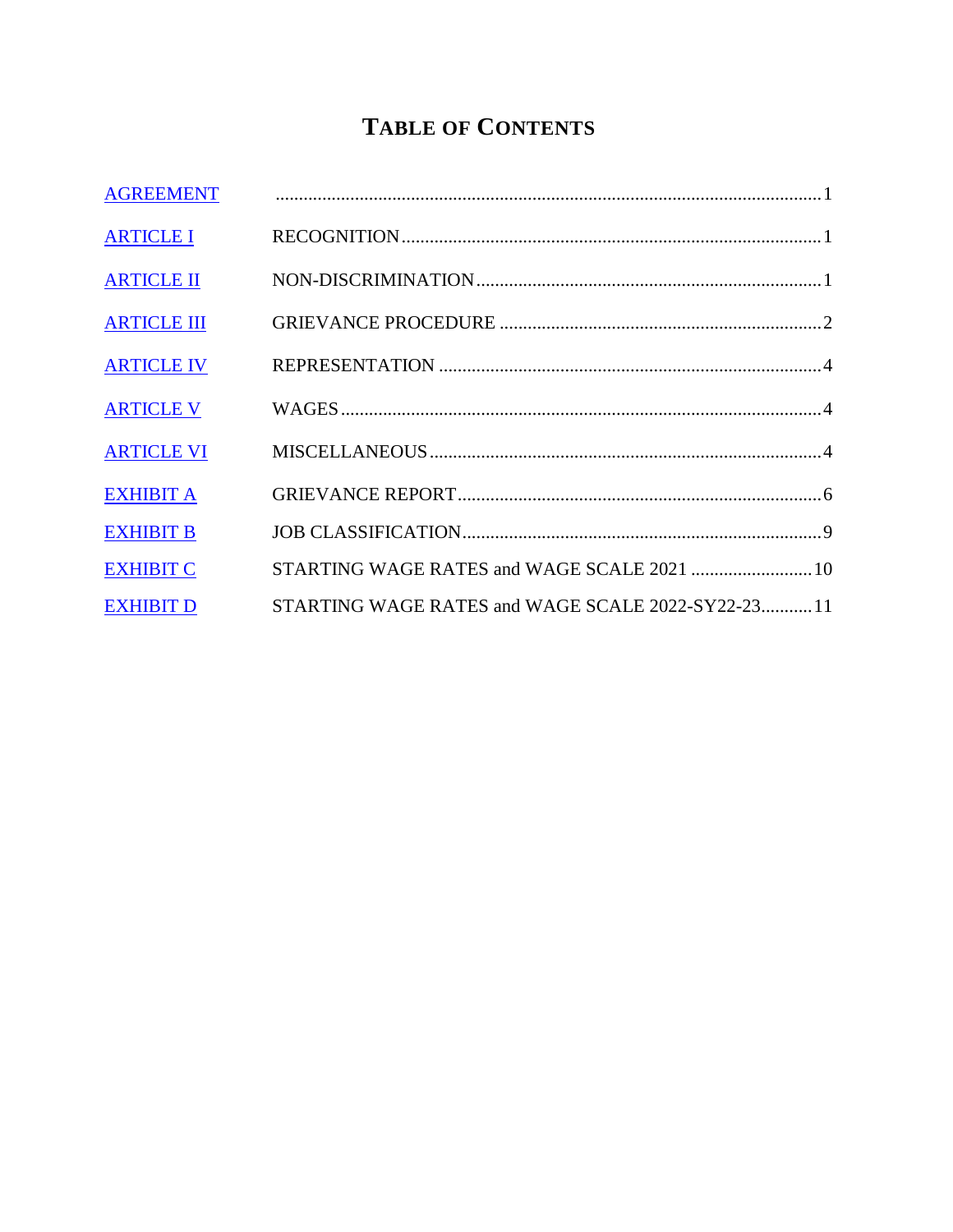## **TABLE OF CONTENTS**

| <b>AGREEMENT</b>   |                                                    |
|--------------------|----------------------------------------------------|
| <b>ARTICLE I</b>   |                                                    |
| <b>ARTICLE II</b>  |                                                    |
| <b>ARTICLE III</b> |                                                    |
| <b>ARTICLE IV</b>  |                                                    |
| <b>ARTICLE V</b>   |                                                    |
| <b>ARTICLE VI</b>  |                                                    |
| <b>EXHIBIT A</b>   |                                                    |
| <b>EXHIBIT B</b>   |                                                    |
| <b>EXHIBIT C</b>   |                                                    |
| <b>EXHIBIT D</b>   | STARTING WAGE RATES and WAGE SCALE 2022-SY22-23 11 |
|                    |                                                    |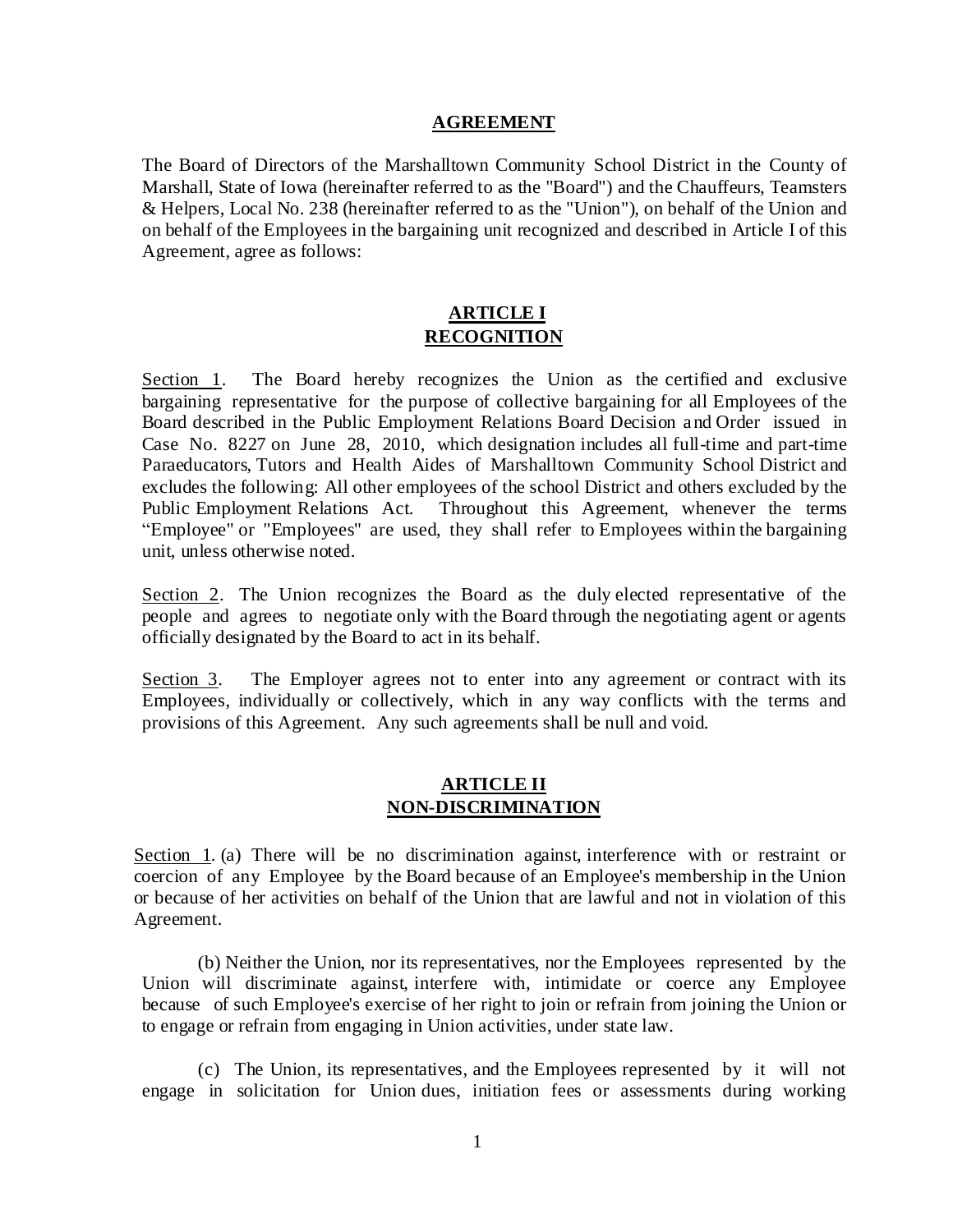#### **AGREEMENT**

<span id="page-2-0"></span>The Board of Directors of the Marshalltown Community School District in the County of Marshall, State of Iowa (hereinafter referred to as the "Board") and the Chauffeurs, Teamsters & Helpers, Local No. 238 (hereinafter referred to as the "Union"), on behalf of the Union and on behalf of the Employees in the bargaining unit recognized and described in Article I of this Agreement, agree as follows:

### **ARTICLE I RECOGNITION**

<span id="page-2-1"></span>Section 1. The Board hereby recognizes the Union as the certified and exclusive bargaining representative for the purpose of collective bargaining for all Employees of the Board described in the Public Employment Relations Board Decision and Order issued in Case No. 8227 on June 28, 2010, which designation includes all full-time and part-time Paraeducators, Tutors and Health Aides of Marshalltown Community School District and excludes the following: All other employees of the school District and others excluded by the Public Employment Relations Act. Throughout this Agreement, whenever the terms "Employee" or "Employees" are used, they shall refer to Employees within the bargaining unit, unless otherwise noted.

Section 2. The Union recognizes the Board as the duly elected representative of the people and agrees to negotiate only with the Board through the negotiating agent or agents officially designated by the Board to act in its behalf.

Section 3. The Employer agrees not to enter into any agreement or contract with its Employees, individually or collectively, which in any way conflicts with the terms and provisions of this Agreement. Any such agreements shall be null and void.

#### **ARTICLE II NON-DISCRIMINATION**

<span id="page-2-2"></span>Section 1. (a) There will be no discrimination against, interference with or restraint or coercion of any Employee by the Board because of an Employee's membership in the Union or because of her activities on behalf of the Union that are lawful and not in violation of this Agreement.

(b) Neither the Union, nor its representatives, nor the Employees represented by the Union will discriminate against, interfere with, intimidate or coerce any Employee because of such Employee's exercise of her right to join or refrain from joining the Union or to engage or refrain from engaging in Union activities, under state law.

(c) The Union, its representatives, and the Employees represented by it will not engage in solicitation for Union dues, initiation fees or assessments during working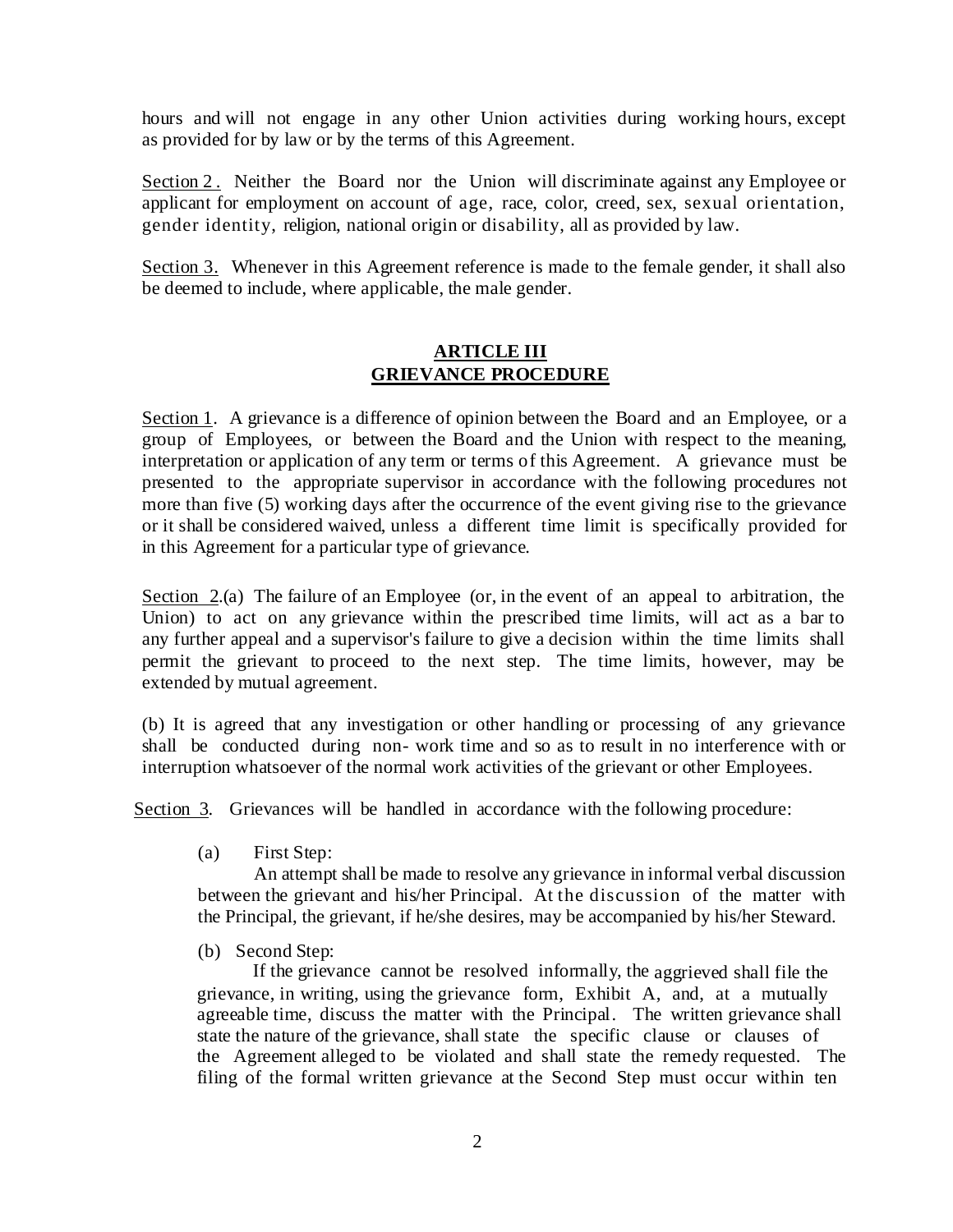hours and will not engage in any other Union activities during working hours, except as provided for by law or by the terms of this Agreement.

Section 2. Neither the Board nor the Union will discriminate against any Employee or applicant for employment on account of age, race, color, creed, sex, sexual orientation, gender identity, religion, national origin or disability, all as provided by law.

Section 3. Whenever in this Agreement reference is made to the female gender, it shall also be deemed to include, where applicable, the male gender.

## **ARTICLE III GRIEVANCE PROCEDURE**

<span id="page-3-0"></span>Section 1. A grievance is a difference of opinion between the Board and an Employee, or a group of Employees, or between the Board and the Union with respect to the meaning, interpretation or application of any term or terms of this Agreement. A grievance must be presented to the appropriate supervisor in accordance with the following procedures not more than five (5) working days after the occurrence of the event giving rise to the grievance or it shall be considered waived, unless a different time limit is specifically provided for in this Agreement for a particular type of grievance.

Section 2.(a) The failure of an Employee (or, in the event of an appeal to arbitration, the Union) to act on any grievance within the prescribed time limits, will act as a bar to any further appeal and a supervisor's failure to give a decision within the time limits shall permit the grievant to proceed to the next step. The time limits, however, may be extended by mutual agreement.

(b) It is agreed that any investigation or other handling or processing of any grievance shall be conducted during non- work time and so as to result in no interference with or interruption whatsoever of the normal work activities of the grievant or other Employees.

Section 3. Grievances will be handled in accordance with the following procedure:

(a) First Step:

An attempt shall be made to resolve any grievance in informal verbal discussion between the grievant and his/her Principal. At the discussion of the matter with the Principal, the grievant, if he/she desires, may be accompanied by his/her Steward.

(b) Second Step:

If the grievance cannot be resolved informally, the aggrieved shall file the grievance, in writing, using the grievance form, Exhibit A, and, at a mutually agreeable time, discuss the matter with the Principal. The written grievance shall state the nature of the grievance, shall state the specific clause or clauses of the Agreement alleged to be violated and shall state the remedy requested. The filing of the formal written grievance at the Second Step must occur within ten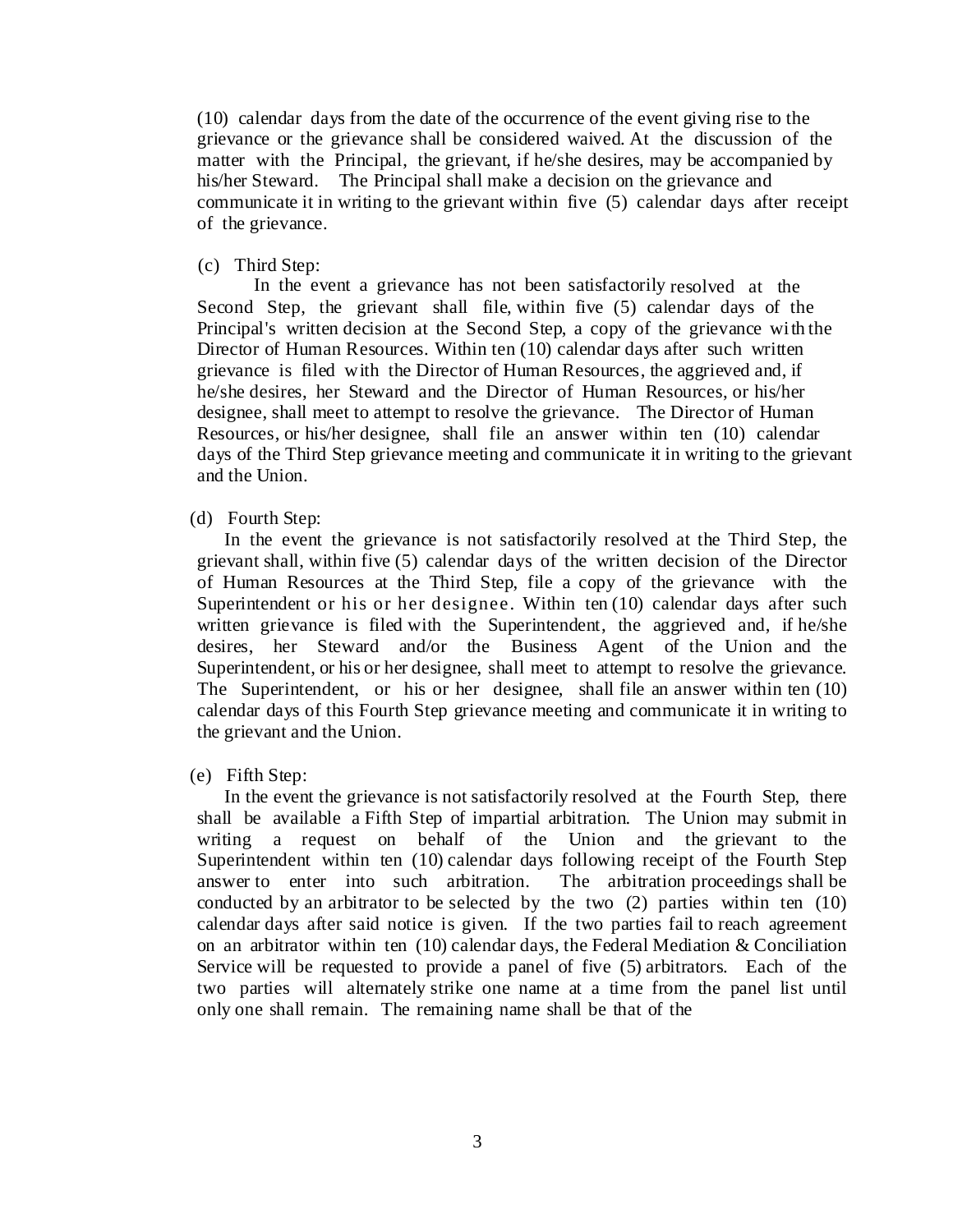(10) calendar days from the date of the occurrence of the event giving rise to the grievance or the grievance shall be considered waived. At the discussion of the matter with the Principal, the grievant, if he/she desires, may be accompanied by his/her Steward. The Principal shall make a decision on the grievance and communicate it in writing to the grievant within five (5) calendar days after receipt of the grievance.

#### (c) Third Step:

In the event a grievance has not been satisfactorily resolved at the Second Step, the grievant shall file, within five (5) calendar days of the Principal's written decision at the Second Step, a copy of the grievance with the Director of Human Resources. Within ten (10) calendar days after such written grievance is filed with the Director of Human Resources, the aggrieved and, if he/she desires, her Steward and the Director of Human Resources, or his/her designee, shall meet to attempt to resolve the grievance. The Director of Human Resources, or his/her designee, shall file an answer within ten (10) calendar days of the Third Step grievance meeting and communicate it in writing to the grievant and the Union.

#### (d) Fourth Step:

In the event the grievance is not satisfactorily resolved at the Third Step, the grievant shall, within five (5) calendar days of the written decision of the Director of Human Resources at the Third Step, file a copy of the grievance with the Superintendent or his or her designee. Within ten (10) calendar days after such written grievance is filed with the Superintendent, the aggrieved and, if he/she desires, her Steward and/or the Business Agent of the Union and the Superintendent, or his or her designee, shall meet to attempt to resolve the grievance. The Superintendent, or his or her designee, shall file an answer within ten (10) calendar days of this Fourth Step grievance meeting and communicate it in writing to the grievant and the Union.

#### (e) Fifth Step:

In the event the grievance is not satisfactorily resolved at the Fourth Step, there shall be available a Fifth Step of impartial arbitration. The Union may submit in writing a request on behalf of the Union and the grievant to the Superintendent within ten (10) calendar days following receipt of the Fourth Step answer to enter into such arbitration. The arbitration proceedings shall be conducted by an arbitrator to be selected by the two (2) parties within ten (10) calendar days after said notice is given. If the two parties fail to reach agreement on an arbitrator within ten  $(10)$  calendar days, the Federal Mediation & Conciliation Service will be requested to provide a panel of five (5) arbitrators. Each of the two parties will alternately strike one name at a time from the panel list until only one shall remain. The remaining name shall be that of the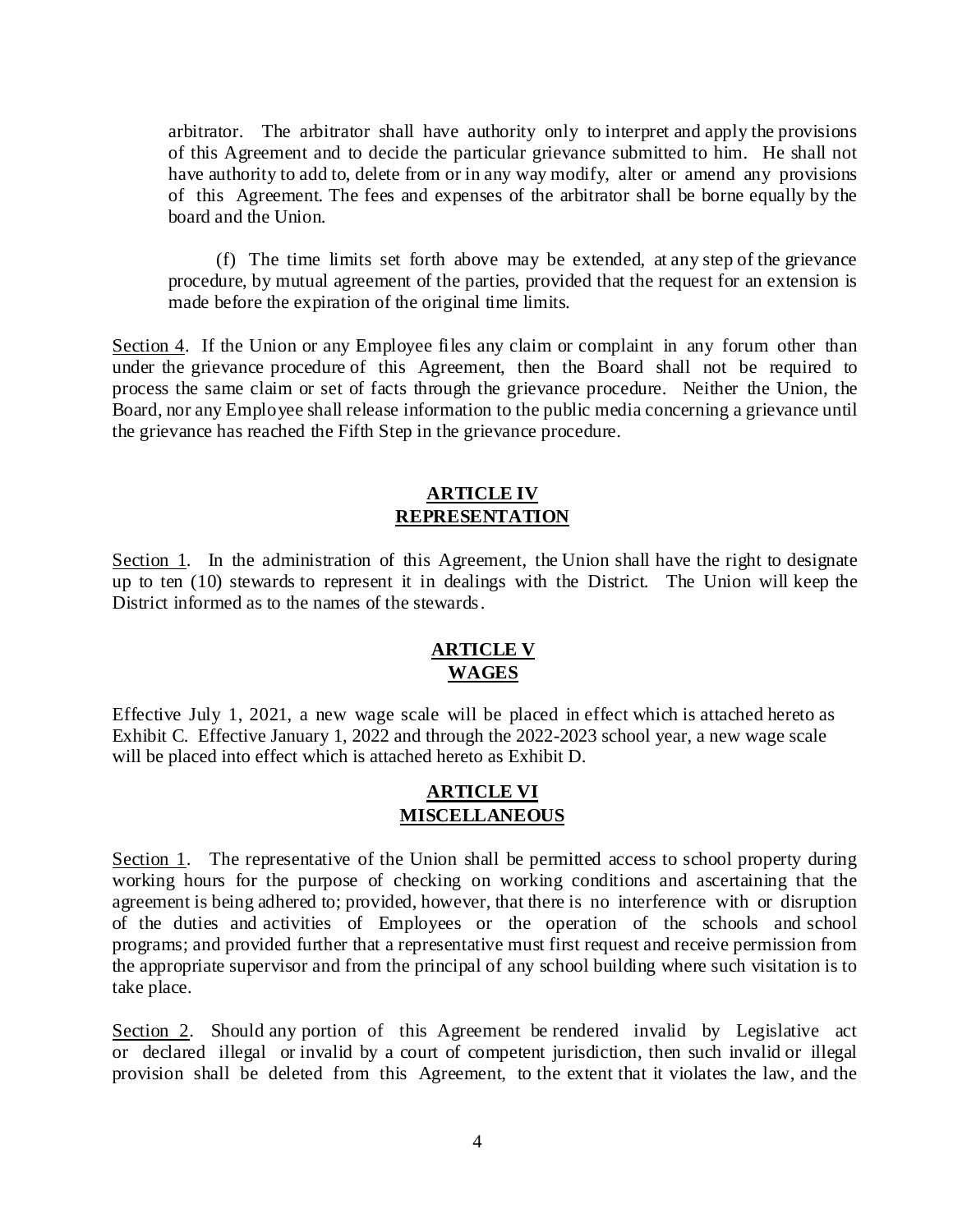arbitrator. The arbitrator shall have authority only to interpret and apply the provisions of this Agreement and to decide the particular grievance submitted to him. He shall not have authority to add to, delete from or in any way modify, alter or amend any provisions of this Agreement. The fees and expenses of the arbitrator shall be borne equally by the board and the Union.

(f) The time limits set forth above may be extended, at any step of the grievance procedure, by mutual agreement of the parties, provided that the request for an extension is made before the expiration of the original time limits.

Section 4. If the Union or any Employee files any claim or complaint in any forum other than under the grievance procedure of this Agreement, then the Board shall not be required to process the same claim or set of facts through the grievance procedure. Neither the Union, the Board, nor any Employee shall release information to the public media concerning a grievance until the grievance has reached the Fifth Step in the grievance procedure.

### **ARTICLE IV REPRESENTATION**

<span id="page-5-0"></span>Section 1. In the administration of this Agreement, the Union shall have the right to designate up to ten (10) stewards to represent it in dealings with the District. The Union will keep the District informed as to the names of the stewards.

## **ARTICLE V WAGES**

<span id="page-5-1"></span>Effective July 1, 2021, a new wage scale will be placed in effect which is attached hereto as Exhibit C. Effective January 1, 2022 and through the 2022-2023 school year, a new wage scale will be placed into effect which is attached hereto as Exhibit D.

#### **ARTICLE VI MISCELLANEOUS**

<span id="page-5-2"></span>Section 1. The representative of the Union shall be permitted access to school property during working hours for the purpose of checking on working conditions and ascertaining that the agreement is being adhered to; provided, however, that there is no interference with or disruption of the duties and activities of Employees or the operation of the schools and school programs; and provided further that a representative must first request and receive permission from the appropriate supervisor and from the principal of any school building where such visitation is to take place.

Section 2. Should any portion of this Agreement be rendered invalid by Legislative act or declared illegal or invalid by a court of competent jurisdiction, then such invalid or illegal provision shall be deleted from this Agreement, to the extent that it violates the law, and the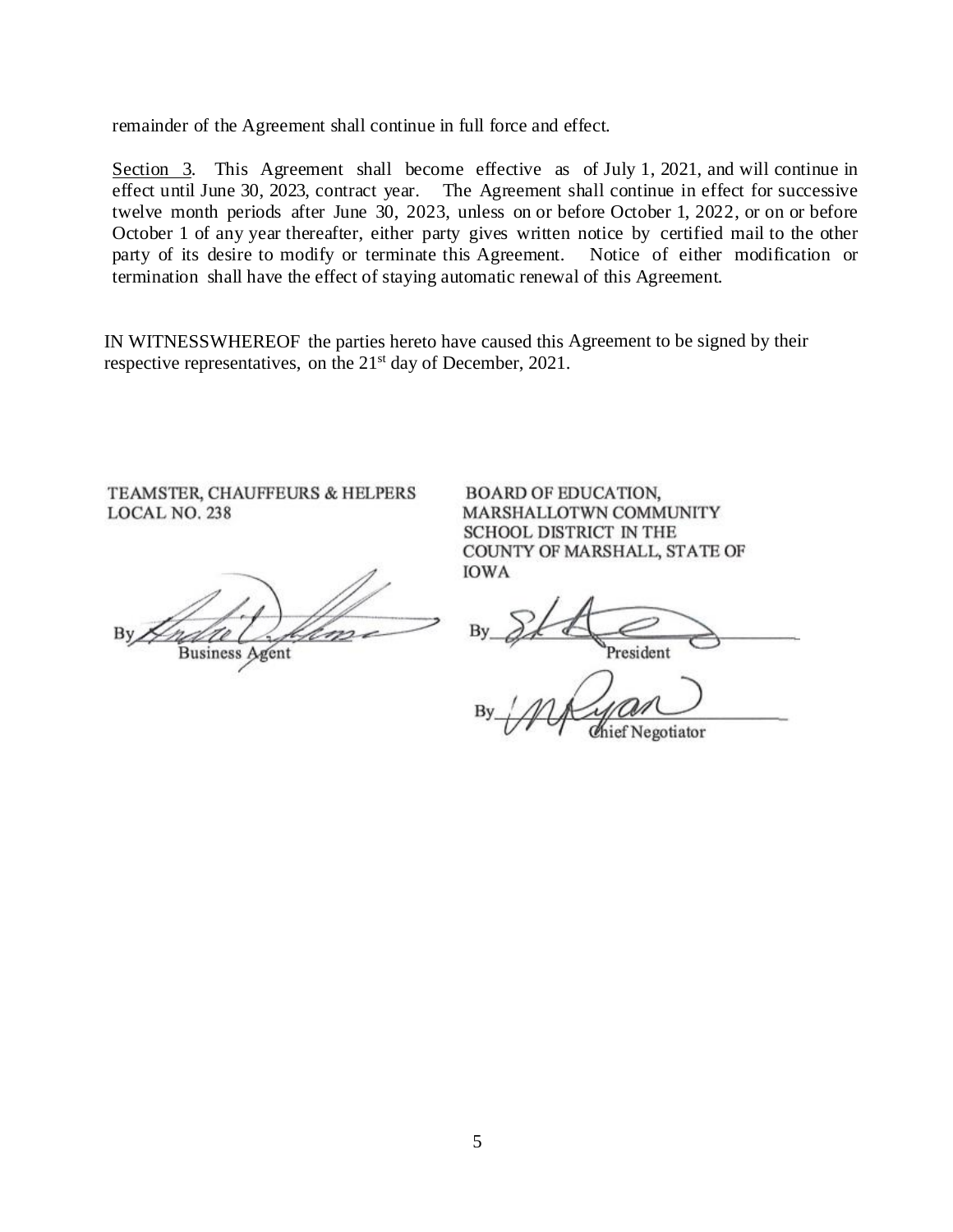remainder of the Agreement shall continue in full force and effect.

Section 3. This Agreement shall become effective as of July 1, 2021, and will continue in effect until June 30, 2023, contract year. The Agreement shall continue in effect for successive twelve month periods after June 30, 2023, unless on or before October 1, 2022, or on or before October 1 of any year thereafter, either party gives written notice by certified mail to the other party of its desire to modify or terminate this Agreement. Notice of either modification or termination shall have the effect of staying automatic renewal of this Agreement.

IN WITNESSWHEREOF the parties hereto have caused this Agreement to be signed by their respective representatives, on the 21<sup>st</sup> day of December, 2021.

TEAMSTER, CHAUFFEURS & HELPERS LOCAL NO. 238

**Business Agent** 

**BOARD OF EDUCATION,** MARSHALLOTWN COMMUNITY SCHOOL DISTRICT IN THE COUNTY OF MARSHALL, STATE OF **IOWA** 

resident

Negotiator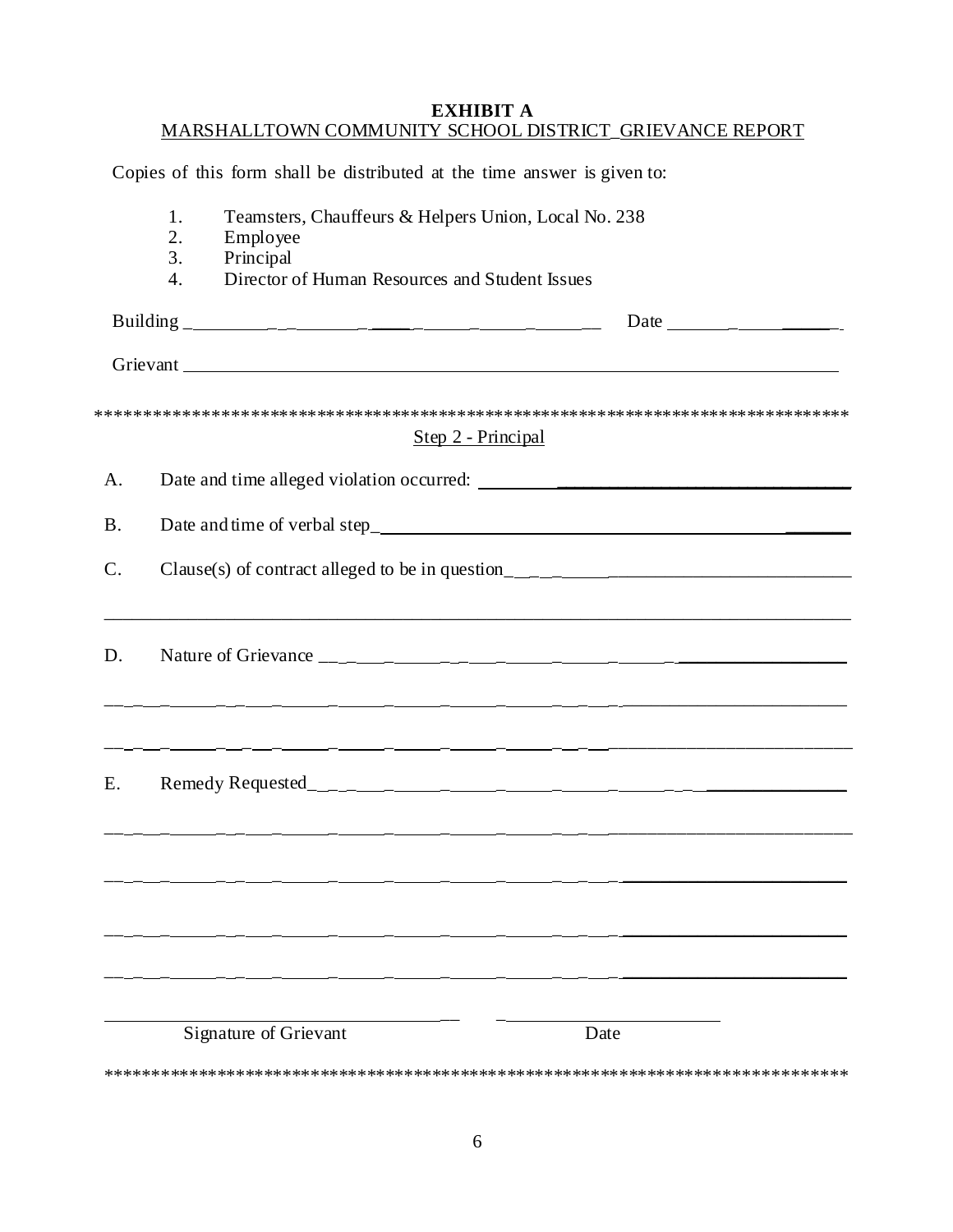#### **EXHIBIT A** MARSHALLTOWN COMMUNITY SCHOOL DISTRICT\_GRIEVANCE REPORT

<span id="page-7-0"></span>Copies of this form shall be distributed at the time answer is given to:

|            | 1.<br>2.<br>Employee<br>3.<br>Principal              | Teamsters, Chauffeurs & Helpers Union, Local No. 238                                                                |  |
|------------|------------------------------------------------------|---------------------------------------------------------------------------------------------------------------------|--|
|            | Director of Human Resources and Student Issues<br>4. |                                                                                                                     |  |
|            |                                                      |                                                                                                                     |  |
|            |                                                      |                                                                                                                     |  |
|            |                                                      | Step 2 - Principal                                                                                                  |  |
| A.         |                                                      |                                                                                                                     |  |
| <b>B</b> . |                                                      |                                                                                                                     |  |
| $C$ .      |                                                      |                                                                                                                     |  |
| D.         |                                                      | <u> 2000 - 2010 - 2010 - 2010 - 2010 - 2010 - 2010 - 2010 - 2010 - 2010 - 2010 - 2010 - 2010 - 2010 - 2010 - 20</u> |  |
| E.         |                                                      |                                                                                                                     |  |
|            |                                                      | <u> 2000 - Andrea Andrew Amerikaanse Amerikaanse konstantinoplering († 18</u>                                       |  |
|            |                                                      |                                                                                                                     |  |
|            | Signature of Grievant                                | Date                                                                                                                |  |
|            |                                                      |                                                                                                                     |  |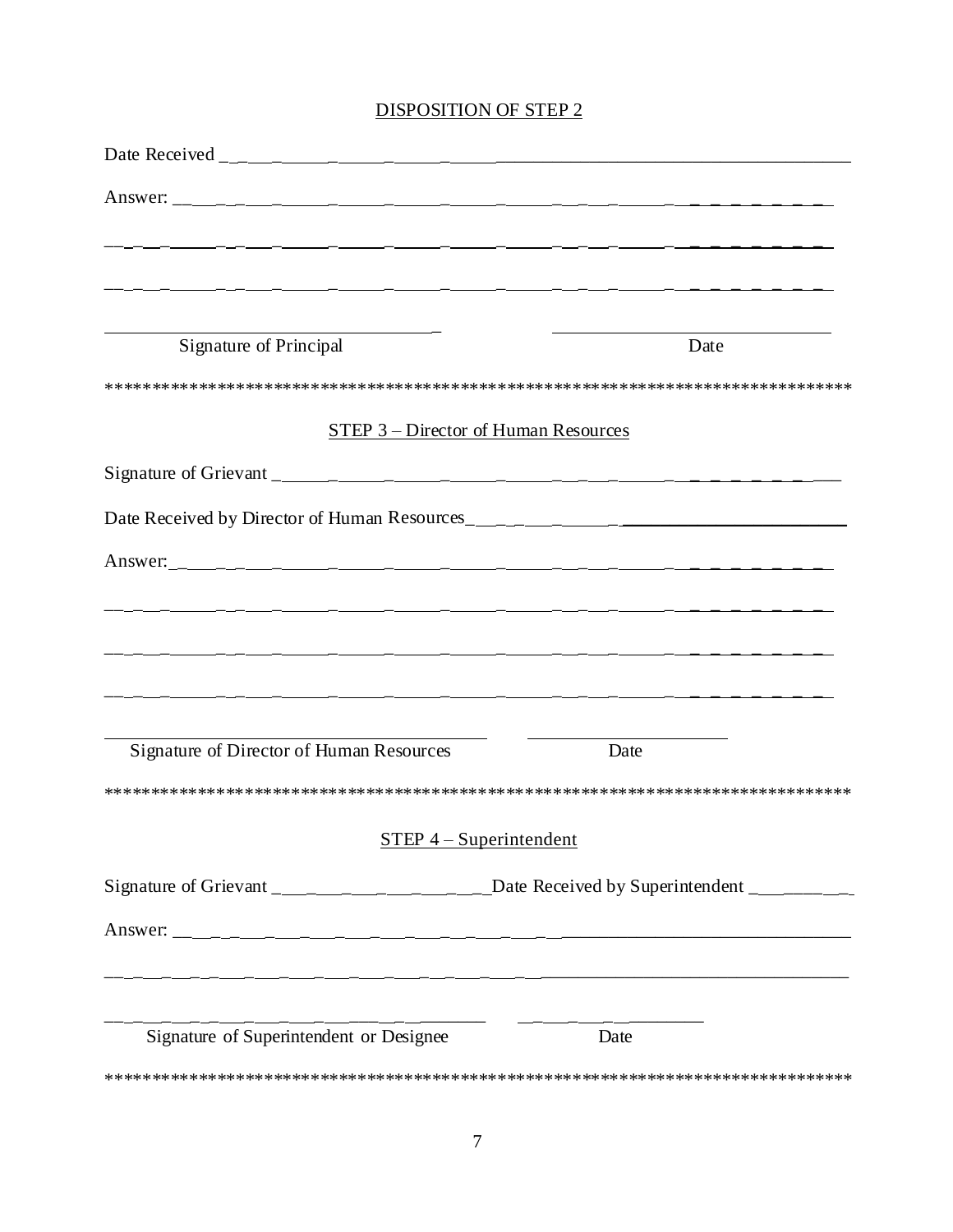## DISPOSITION OF STEP 2

| Signature of Principal                   | Date                                                                                                |
|------------------------------------------|-----------------------------------------------------------------------------------------------------|
|                                          |                                                                                                     |
|                                          | STEP 3 – Director of Human Resources                                                                |
|                                          |                                                                                                     |
|                                          |                                                                                                     |
|                                          |                                                                                                     |
|                                          |                                                                                                     |
|                                          |                                                                                                     |
|                                          |                                                                                                     |
|                                          | <u> 1990 - Andrea Andrew Amerikaansk politik (* 1900)</u>                                           |
| Signature of Director of Human Resources | Date                                                                                                |
|                                          |                                                                                                     |
|                                          | $STEP 4-Superintendent$                                                                             |
|                                          | Signature of Grievant ________________________________Date Received by Superintendent _____________ |
|                                          |                                                                                                     |
|                                          |                                                                                                     |
|                                          |                                                                                                     |
| Signature of Superintendent or Designee  | Date                                                                                                |
|                                          |                                                                                                     |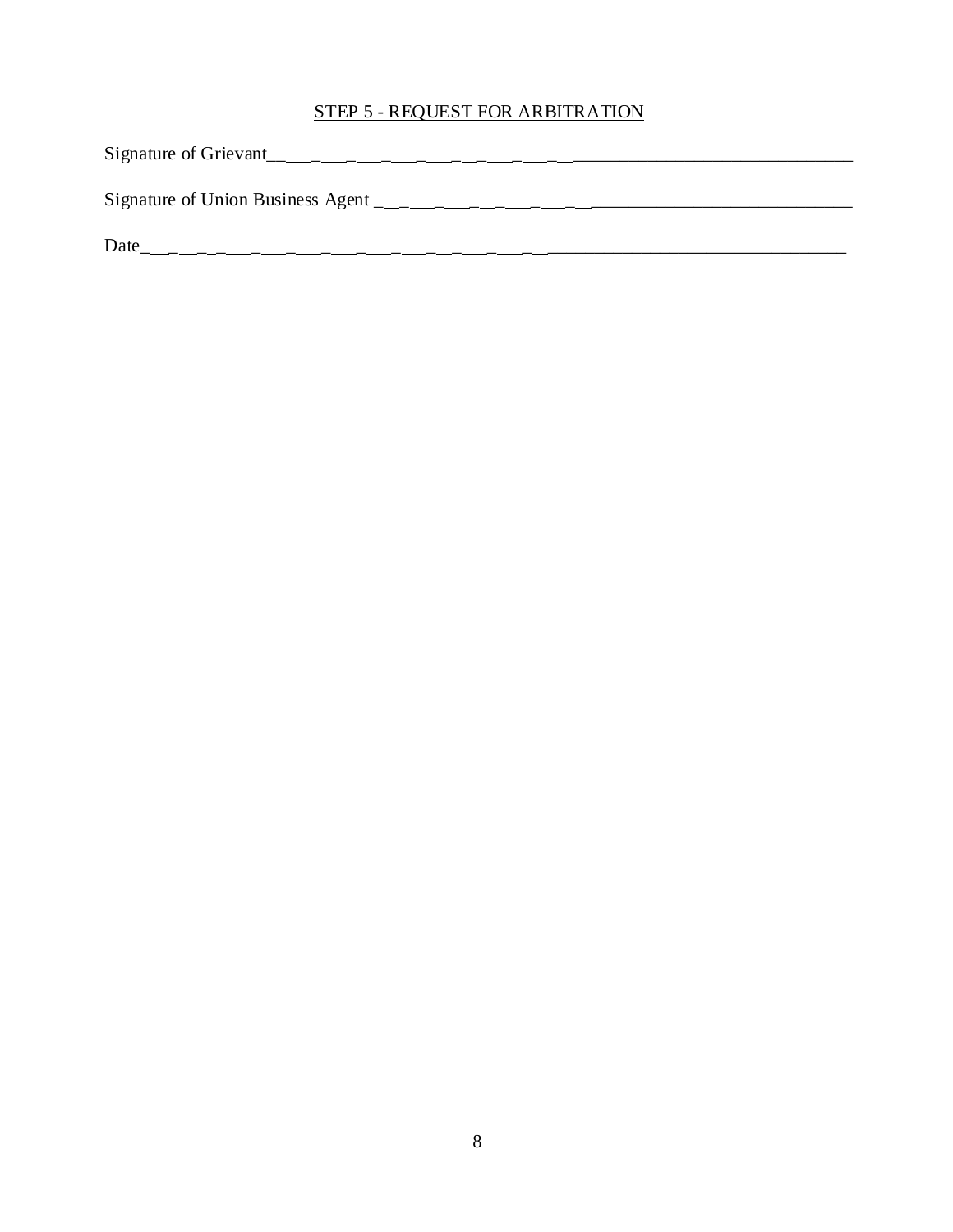## STEP 5 - REQUEST FOR ARBITRATION

Signature of Grievant\_\_ \_ \_ \_ \_ \_ \_ \_ \_ \_\_\_\_\_\_\_\_\_\_\_\_\_\_\_\_\_\_\_\_\_\_\_\_\_\_\_\_\_\_ Signature of Union Business Agent \_ \_ \_ \_ \_ \_ \_ \_\_\_\_\_\_\_\_\_\_\_\_\_\_\_\_\_\_\_\_\_\_\_\_\_\_\_\_

 $Date \_$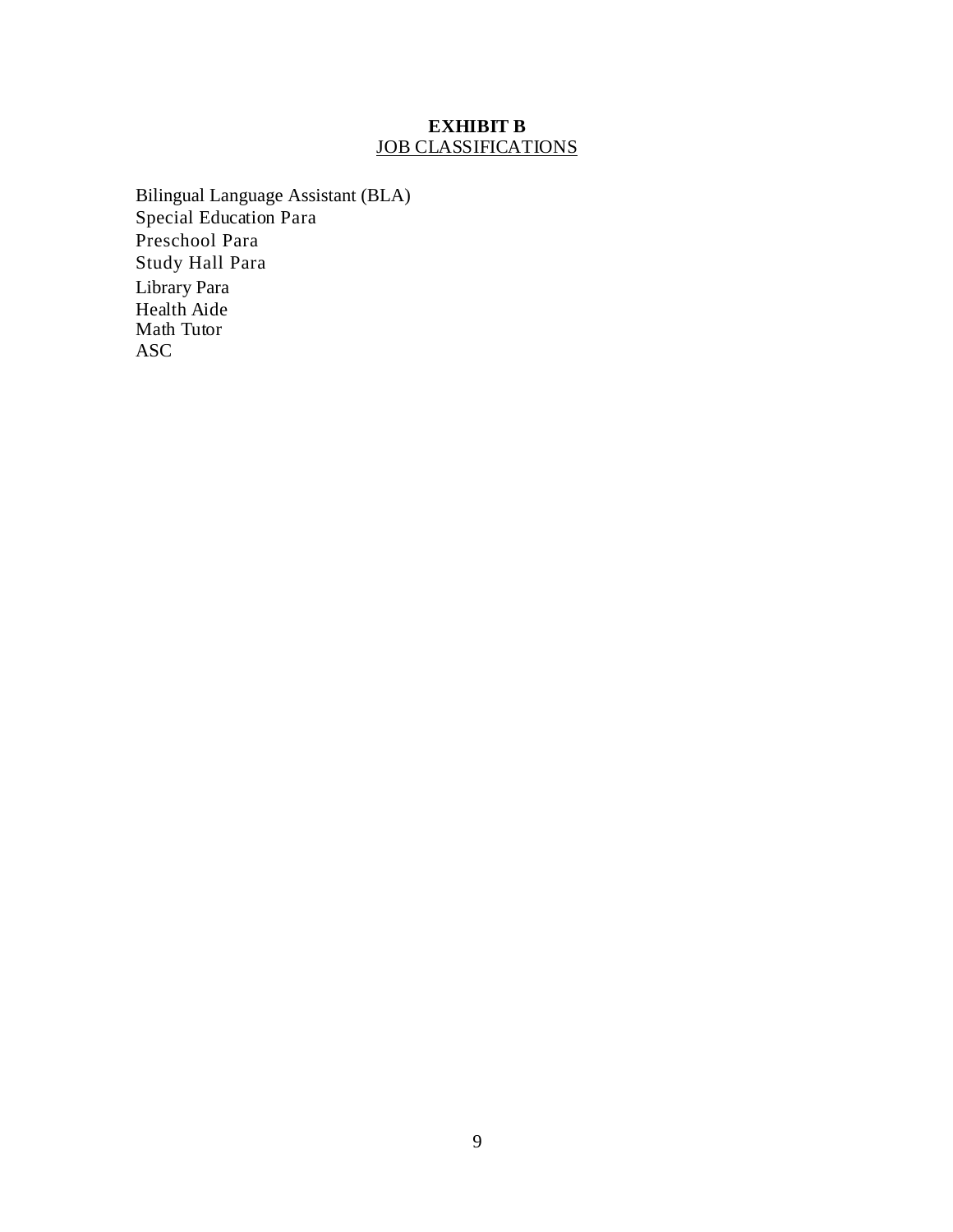## **EXHIBIT B** JOB CLASSIFICATIONS

<span id="page-10-0"></span>Bilingual Language Assistant (BLA) Special Education Para Preschool Para Study Hall Para Library Para Health Aide Math Tutor ASC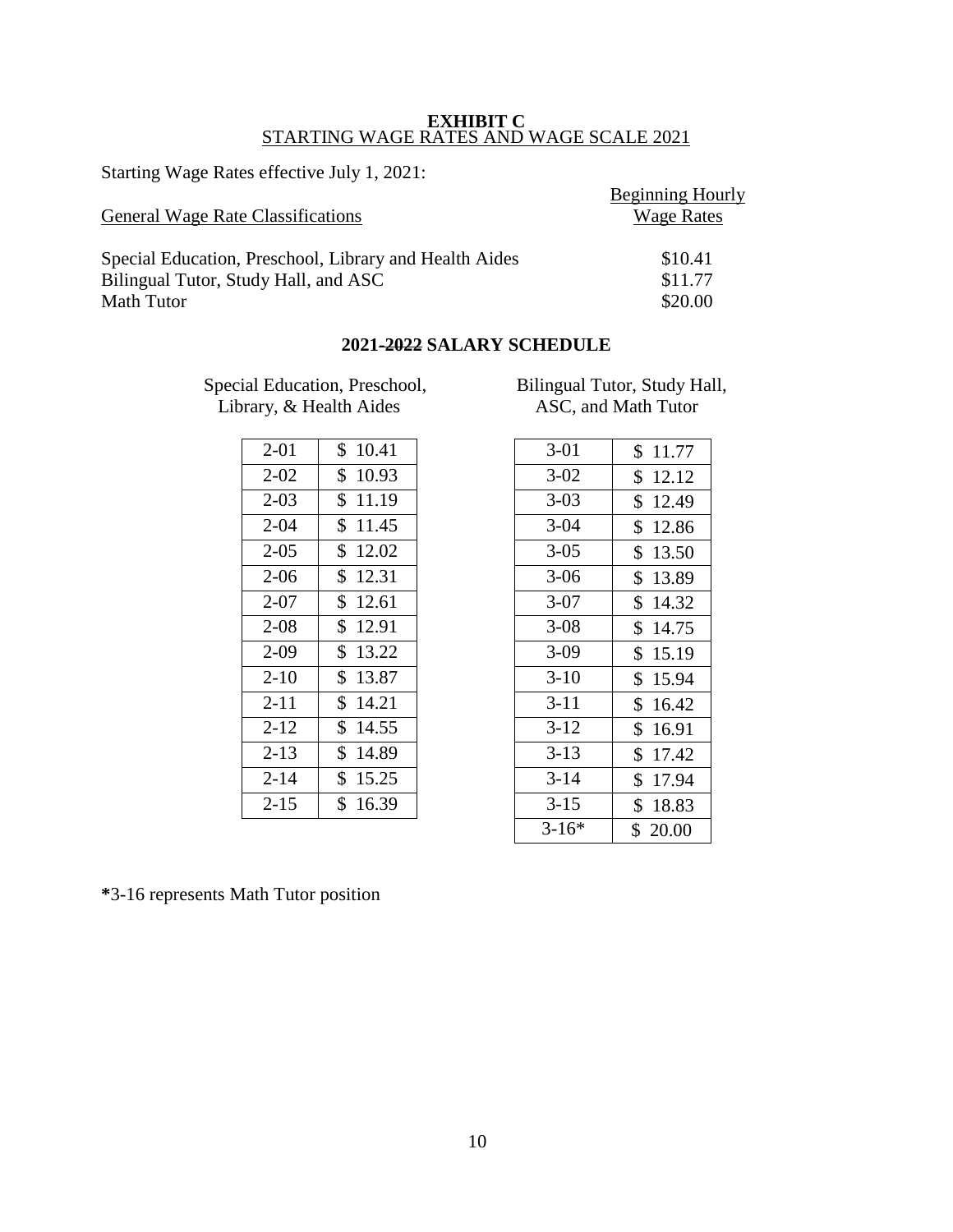#### **EXHIBIT C** STARTING WAGE RATES AND WAGE SCALE 2021

<span id="page-11-0"></span>Starting Wage Rates effective July 1, 2021:

|                                                        | Beginning Hourly  |
|--------------------------------------------------------|-------------------|
| <b>General Wage Rate Classifications</b>               | <b>Wage Rates</b> |
| Special Education, Preschool, Library and Health Aides | \$10.41           |
| Bilingual Tutor, Study Hall, and ASC                   | \$11.77           |
| Math Tutor                                             | \$20.00           |

## **2021-2022 SALARY SCHEDULE**

Special Education, Preschool, Bilingual Tutor, Study Hall, Library, & Health Aides ASC, and Math Tutor Library, & Health Aides

| 2-01      | \$<br>10.41           |
|-----------|-----------------------|
| $2 - 02$  | \$<br>10.93           |
| $2 - 03$  | $\mathbb{S}$<br>11.19 |
| $2 - 04$  | \$11.45               |
| $2 - 0.5$ | \$<br>12.02           |
| $2 - 06$  | \$12.31               |
| $2 - 07$  | \$12.61               |
| $2 - 08$  | \$12.91               |
| $2 - 09$  | \$13.22               |
| $2 - 10$  | \$<br>13.87           |
| $2 - 11$  | \$14.21               |
| $2 - 12$  | \$<br>14.55           |
| $2 - 13$  | \$<br>14.89           |
| $2 - 14$  | \$15.25               |
| $2 - 15$  | \$<br>16.39           |

| 10.41<br>\$ | $3-01$   | \$<br>11.77 |
|-------------|----------|-------------|
| \$<br>10.93 | $3 - 02$ | \$<br>12.12 |
| \$<br>11.19 | $3 - 03$ | \$<br>12.49 |
| \$<br>11.45 | $3 - 04$ | \$<br>12.86 |
| 12.02<br>\$ | $3 - 05$ | \$<br>13.50 |
| \$<br>12.31 | $3 - 06$ | \$<br>13.89 |
| \$<br>12.61 | $3-07$   | \$<br>14.32 |
| 12.91<br>\$ | $3 - 08$ | \$<br>14.75 |
| \$<br>13.22 | $3-09$   | \$<br>15.19 |
| \$<br>13.87 | $3-10$   | 15.94<br>\$ |
| \$<br>14.21 | $3 - 11$ | \$<br>16.42 |
| \$<br>14.55 | $3-12$   | \$<br>16.91 |
| \$<br>14.89 | $3-13$   | \$<br>17.42 |
| \$<br>15.25 | $3 - 14$ | \$<br>17.94 |
| 16.39<br>\$ | $3-15$   | \$<br>18.83 |
|             | $3-16*$  | \$20.00     |
|             |          |             |

**\***3-16 represents Math Tutor position